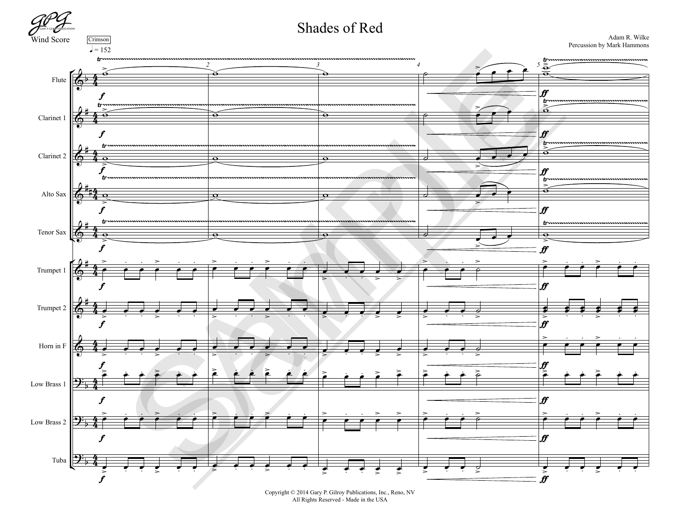

Copyright © 2014 Gary P. Gilroy Publications, Inc., Reno, NV All Rights Reserved - Made in the USA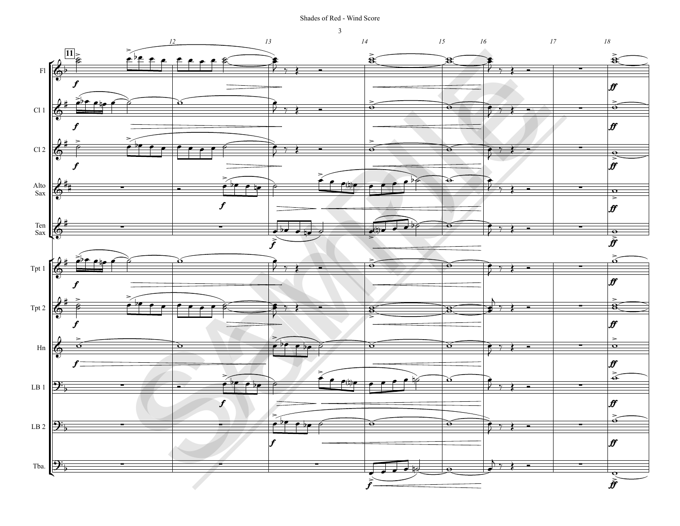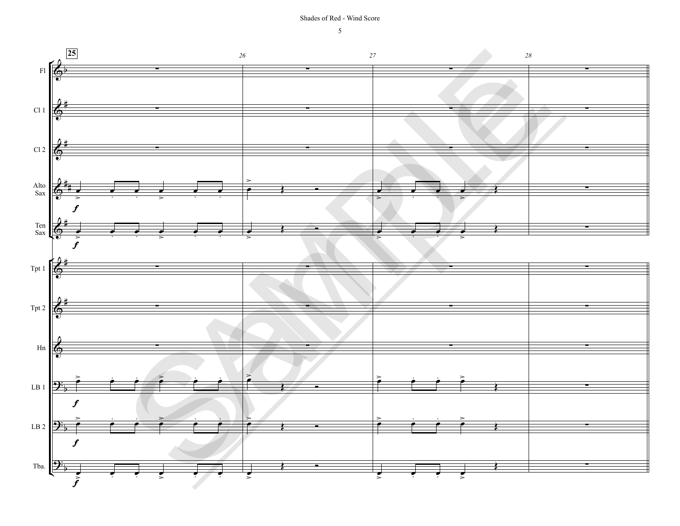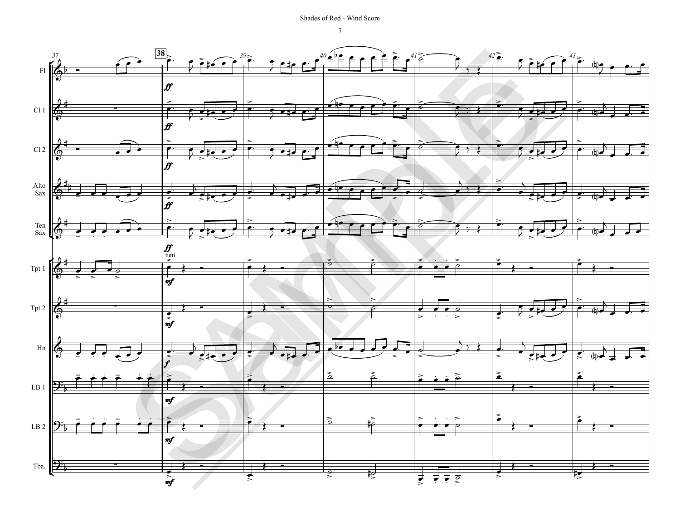$\overline{7}$ 

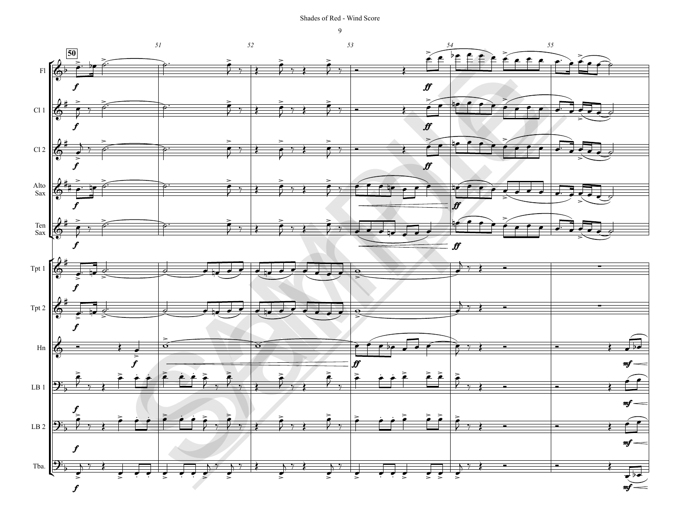

 $\overline{9}$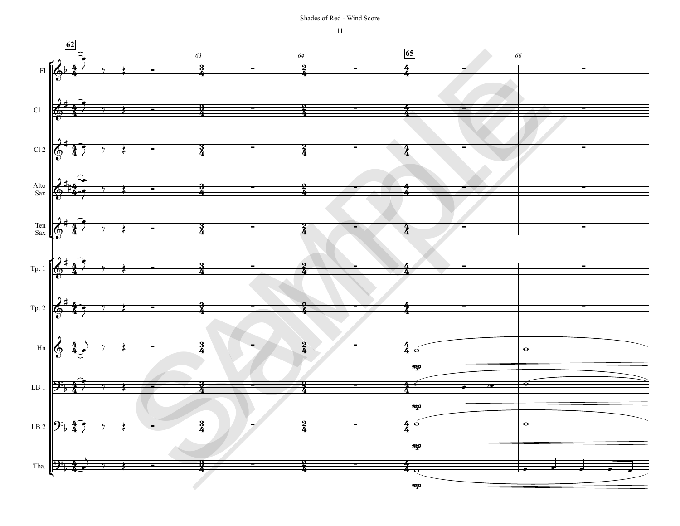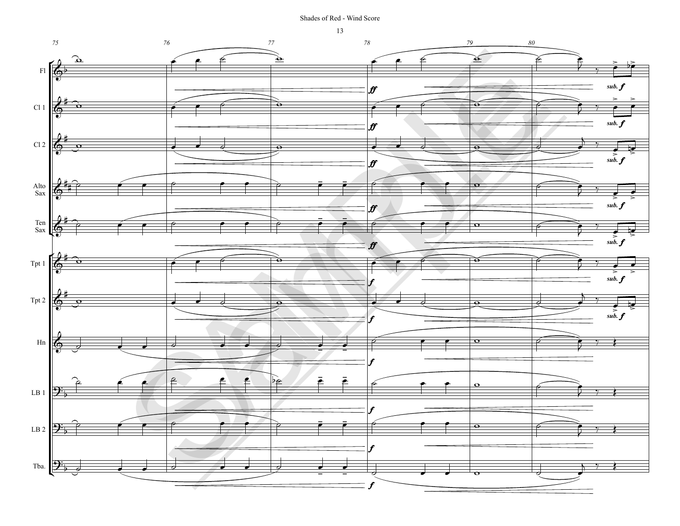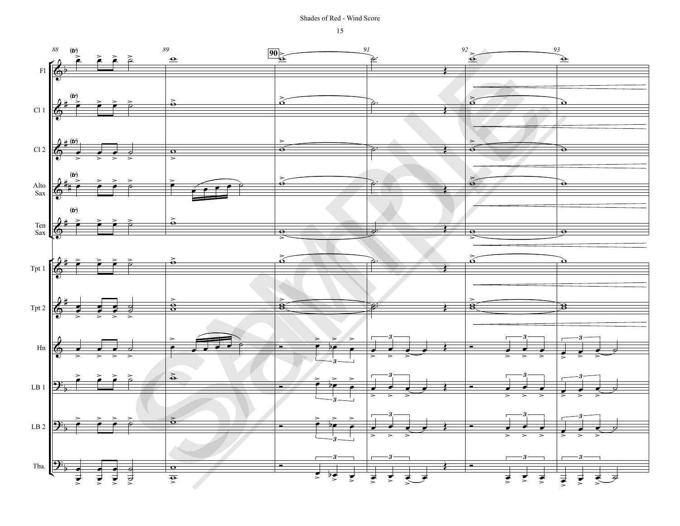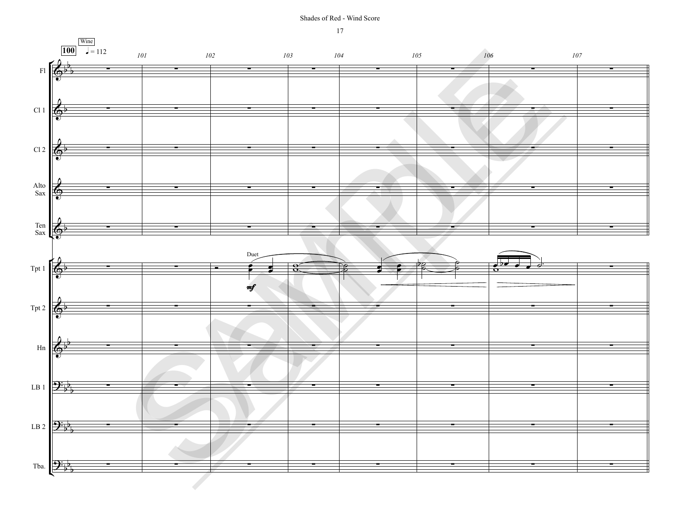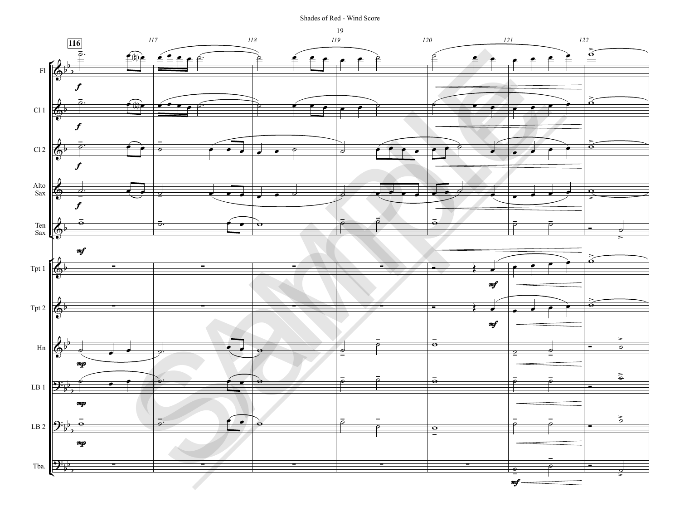![](_page_9_Figure_1.jpeg)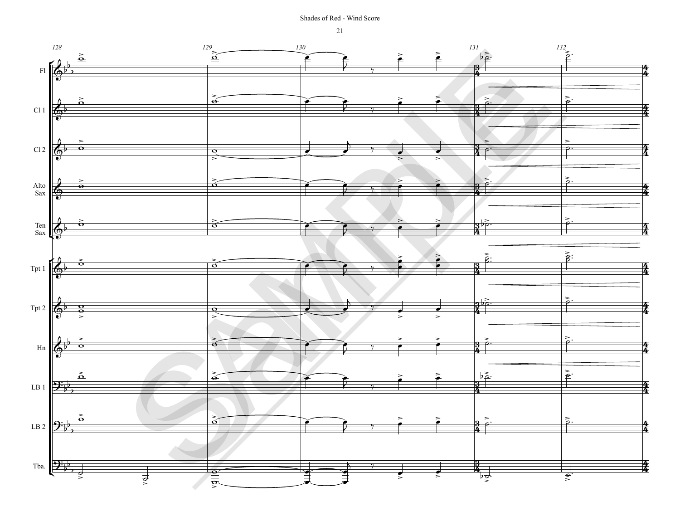![](_page_10_Figure_2.jpeg)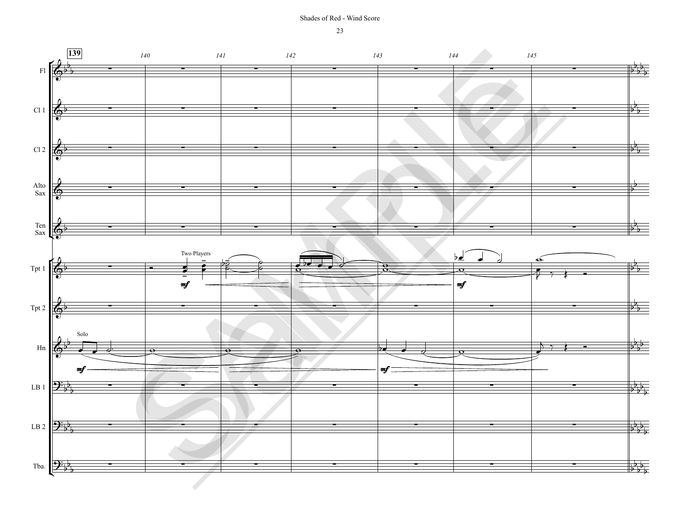![](_page_11_Figure_2.jpeg)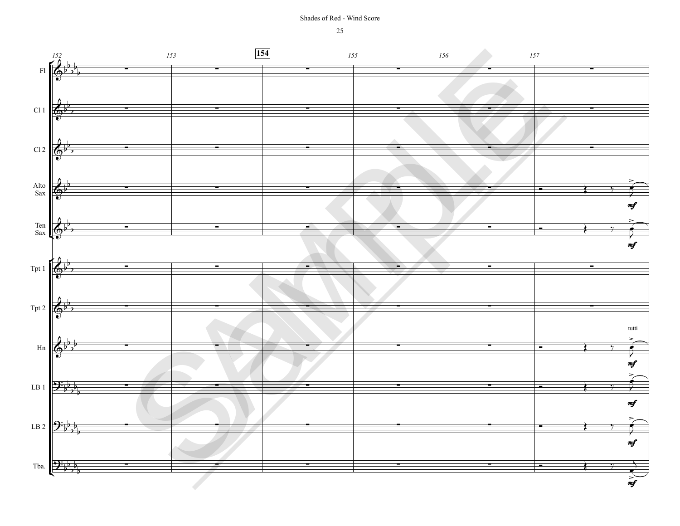![](_page_12_Figure_2.jpeg)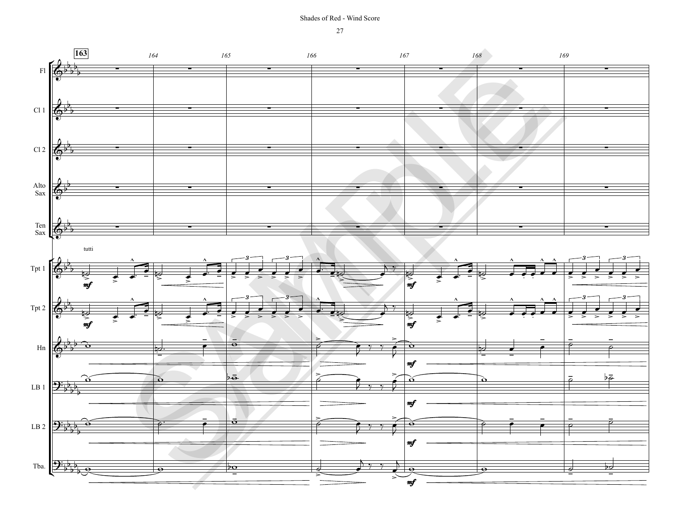![](_page_13_Figure_2.jpeg)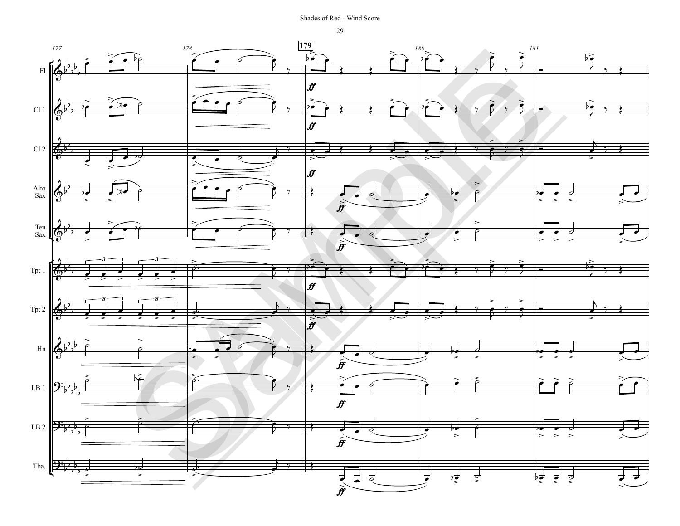![](_page_14_Figure_1.jpeg)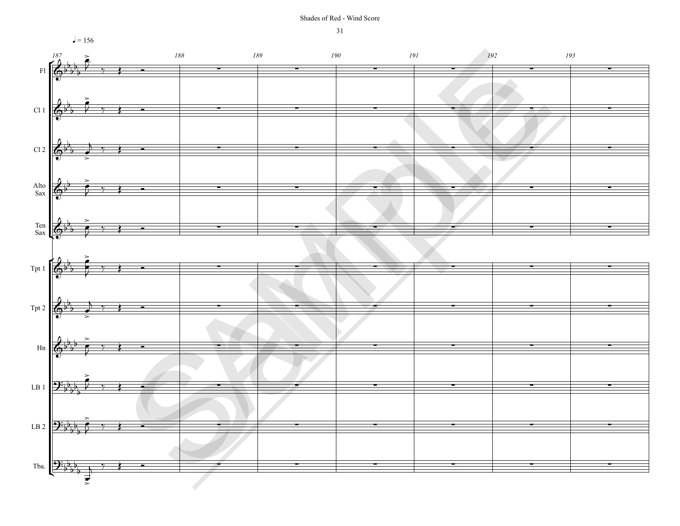![](_page_15_Figure_1.jpeg)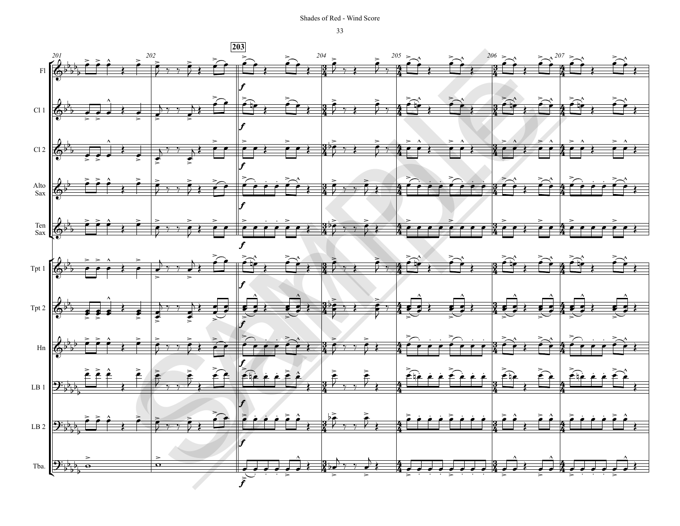![](_page_16_Figure_2.jpeg)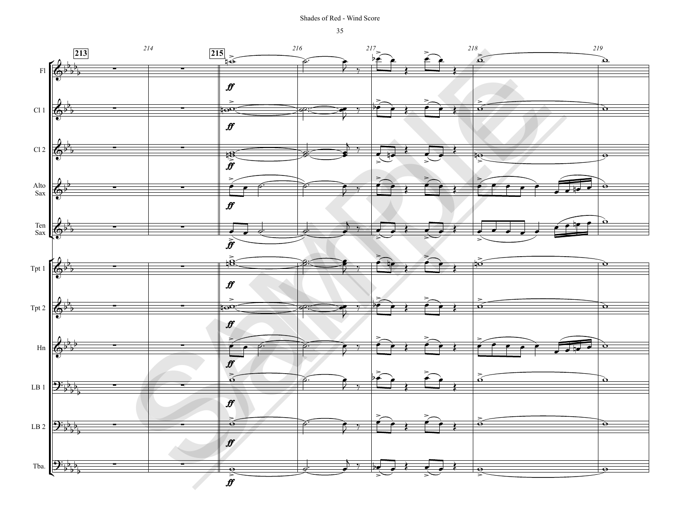![](_page_17_Figure_2.jpeg)